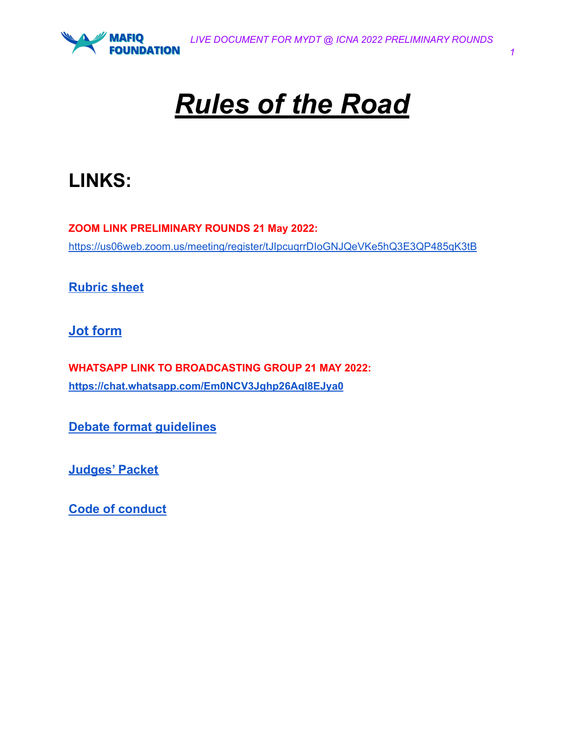

# *Rules of the Road*

## **LINKS:**

**ZOOM LINK PRELIMINARY ROUNDS 21 May 2022:** <https://us06web.zoom.us/meeting/register/tJIpcuqrrDIoGNJQeVKe5hQ3E3QP485qK3tB>

**[Rubric](http://debate.mafiq.org/wp-content/uploads/2022/05/MYDT-RUBRIC-2022.pdf) sheet**

**Jot [form](https://www.jotform.com/build/210767166488164#preview)**

**WHATSAPP LINK TO BROADCASTING GROUP 21 MAY 2022: <https://chat.whatsapp.com/Em0NCV3Jghp26Aql8EJya0>**

**Debate format [guidelines](http://debate.mafiq.org/?page_id=23)**

**[Judges'](http://debate.mafiq.org/wp-content/uploads/2022/05/MYDT-Judges-Packet-2022.pdf) Packet**

**Code of [conduct](http://debate.mafiq.org/wp-content/uploads/2022/05/MYDT-Code-of-conduct-2022.pdf)**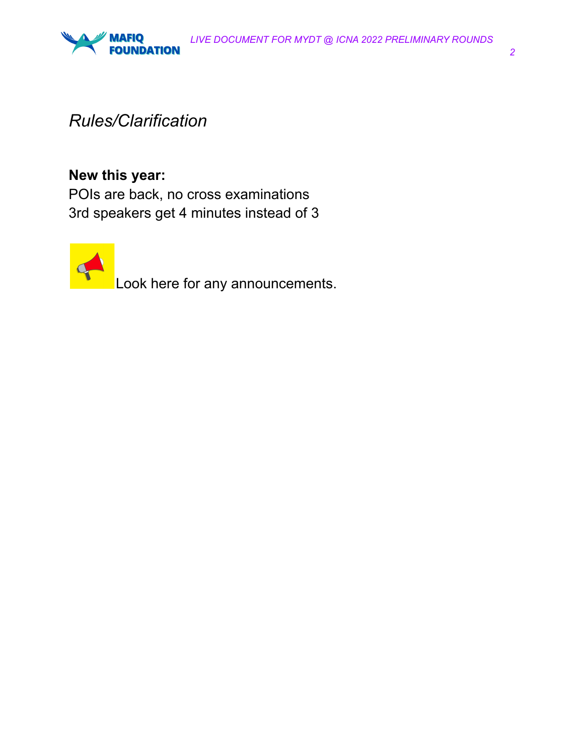



### *Rules/Clarification*

#### **New this year:**

POIs are back, no cross examinations 3rd speakers get 4 minutes instead of 3



Look here for any announcements.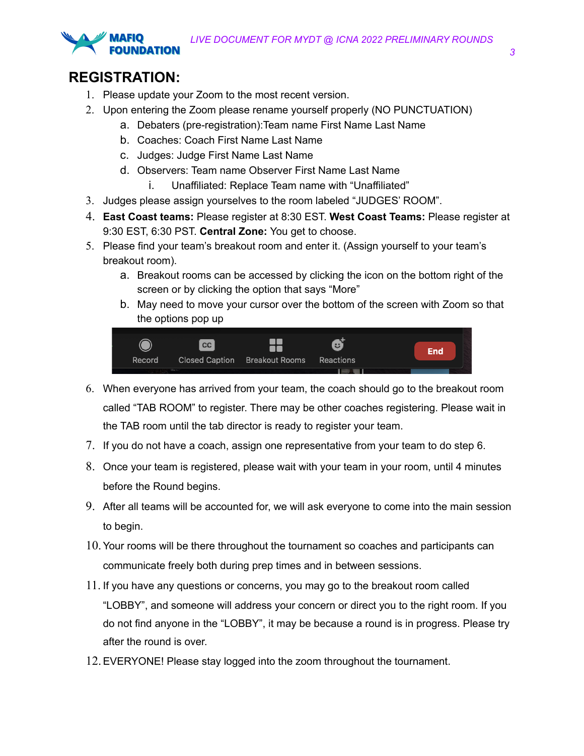

- 1. Please update your Zoom to the most recent version.
- 2. Upon entering the Zoom please rename yourself properly (NO PUNCTUATION)
	- a. Debaters (pre-registration):Team name First Name Last Name
	- b. Coaches: Coach First Name Last Name
	- c. Judges: Judge First Name Last Name
	- d. Observers: Team name Observer First Name Last Name
		- i. Unaffiliated: Replace Team name with "Unaffiliated"
- 3. Judges please assign yourselves to the room labeled "JUDGES' ROOM".
- 4. **East Coast teams:** Please register at 8:30 EST. **West Coast Teams:** Please register at 9:30 EST, 6:30 PST. **Central Zone:** You get to choose.
- 5. Please find your team's breakout room and enter it. (Assign yourself to your team's breakout room).
	- a. Breakout rooms can be accessed by clicking the icon on the bottom right of the screen or by clicking the option that says "More"
	- b. May need to move your cursor over the bottom of the screen with Zoom so that the options pop up



- 6. When everyone has arrived from your team, the coach should go to the breakout room called "TAB ROOM" to register. There may be other coaches registering. Please wait in the TAB room until the tab director is ready to register your team.
- 7. If you do not have a coach, assign one representative from your team to do step 6.
- 8. Once your team is registered, please wait with your team in your room, until 4 minutes before the Round begins.
- 9. After all teams will be accounted for, we will ask everyone to come into the main session to begin.
- 10.Your rooms will be there throughout the tournament so coaches and participants can communicate freely both during prep times and in between sessions.
- 11. If you have any questions or concerns, you may go to the breakout room called "LOBBY", and someone will address your concern or direct you to the right room. If you do not find anyone in the "LOBBY", it may be because a round is in progress. Please try after the round is over.
- 12.EVERYONE! Please stay logged into the zoom throughout the tournament.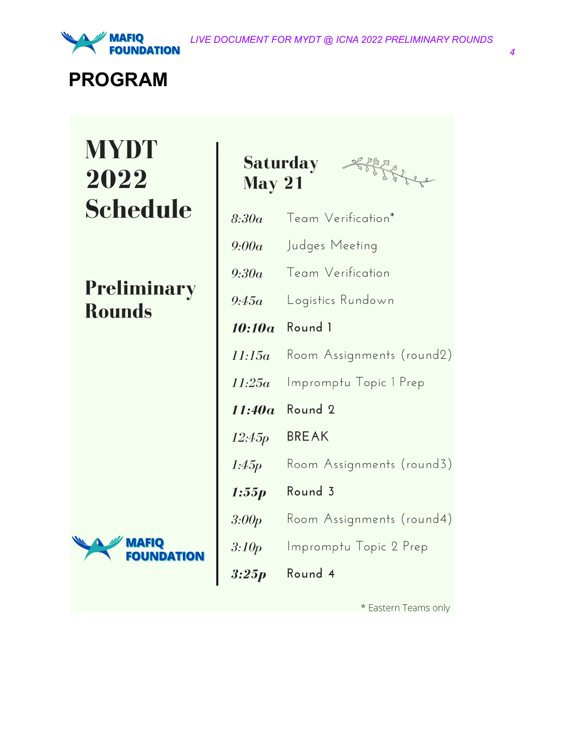

### **PROGRAM**

# **MYDT** 2022 **Schedule**

**Preliminary Rounds** 



| <b>May 21</b>      | <b>Saturday</b><br>Porter de |
|--------------------|------------------------------|
| 8:30a              | Team Verification*           |
| 9:00a              | Judges Meeting               |
| 9:30a              | Team Verification            |
| 9:45a              | Logistics Rundown            |
| 10:10a             | Round 1                      |
| 11:15a             | Room Assignments (round2)    |
| 11:25a             | Impromptu Topic 1 Prep       |
| 11:40a             | Round 2                      |
| 12:45 <sub>p</sub> | <b>BREAK</b>                 |
| l:45p              | Room Assignments (round3)    |
| 1:55 p             | Round 3                      |
| 3:00p              | Room Assignments (round4)    |
| 3:10p              | Impromptu Topic 2 Prep       |
| 3:25p              | Round 4                      |

\* Eastern Teams only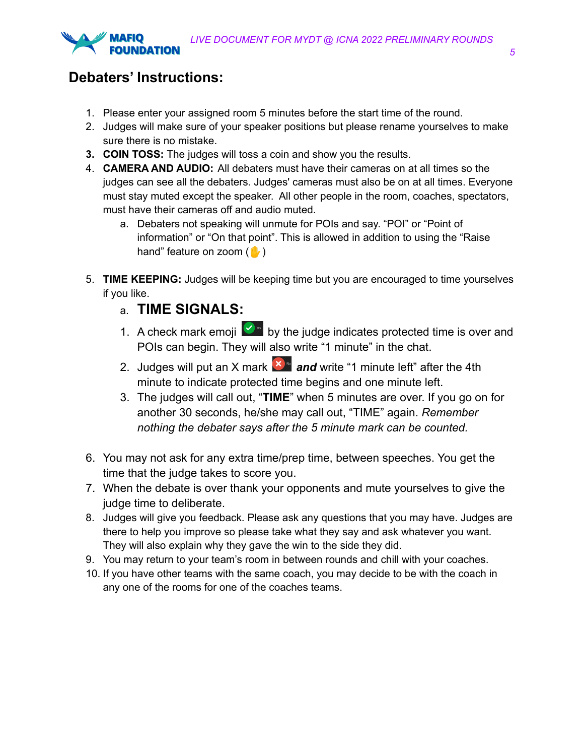

#### **Debaters' Instructions:**

- 1. Please enter your assigned room 5 minutes before the start time of the round.
- 2. Judges will make sure of your speaker positions but please rename yourselves to make sure there is no mistake.
- **3. COIN TOSS:** The judges will toss a coin and show you the results.
- 4. **CAMERA AND AUDIO:** All debaters must have their cameras on at all times so the judges can see all the debaters. Judges' cameras must also be on at all times. Everyone must stay muted except the speaker. All other people in the room, coaches, spectators, must have their cameras off and audio muted.
	- a. Debaters not speaking will unmute for POIs and say. "POI" or "Point of information" or "On that point". This is allowed in addition to using the "Raise hand" feature on zoom  $(\blacksquare)$
- 5. **TIME KEEPING:** Judges will be keeping time but you are encouraged to time yourselves if you like.
	- a. **TIME SIGNALS:**
	- 1. A check mark emoji  $\bigcirc$  by the judge indicates protected time is over and POIs can begin. They will also write "1 minute" in the chat.
	- 2. Judges will put an X mark  $\frac{1}{x}$  and write "1 minute left" after the 4th minute to indicate protected time begins and one minute left.
	- 3. The judges will call out, "**TIME**" when 5 minutes are over. If you go on for another 30 seconds, he/she may call out, "TIME" again. *Remember nothing the debater says after the 5 minute mark can be counted.*
- 6. You may not ask for any extra time/prep time, between speeches. You get the time that the judge takes to score you.
- 7. When the debate is over thank your opponents and mute yourselves to give the judge time to deliberate.
- 8. Judges will give you feedback. Please ask any questions that you may have. Judges are there to help you improve so please take what they say and ask whatever you want. They will also explain why they gave the win to the side they did.
- 9. You may return to your team's room in between rounds and chill with your coaches.
- 10. If you have other teams with the same coach, you may decide to be with the coach in any one of the rooms for one of the coaches teams.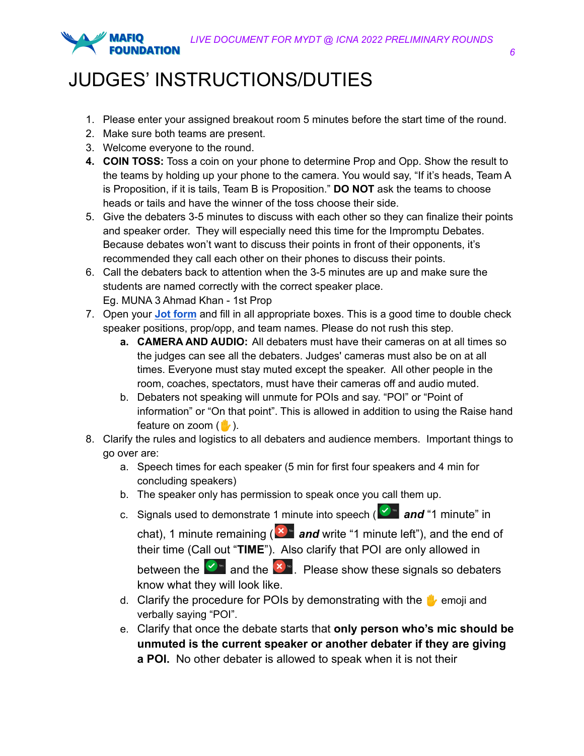

## JUDGES' INSTRUCTIONS/DUTIES

- 1. Please enter your assigned breakout room 5 minutes before the start time of the round.
- 2. Make sure both teams are present.
- 3. Welcome everyone to the round.
- **4. COIN TOSS:** Toss a coin on your phone to determine Prop and Opp. Show the result to the teams by holding up your phone to the camera. You would say, "If it's heads, Team A is Proposition, if it is tails, Team B is Proposition." **DO NOT** ask the teams to choose heads or tails and have the winner of the toss choose their side.
- 5. Give the debaters 3-5 minutes to discuss with each other so they can finalize their points and speaker order. They will especially need this time for the Impromptu Debates. Because debates won't want to discuss their points in front of their opponents, it's recommended they call each other on their phones to discuss their points.
- 6. Call the debaters back to attention when the 3-5 minutes are up and make sure the students are named correctly with the correct speaker place. Eg. MUNA 3 Ahmad Khan - 1st Prop
- 7. Open your **Jot [form](https://www.jotform.com/build/210767166488164#preview)** and fill in all appropriate boxes. This is a good time to double check speaker positions, prop/opp, and team names. Please do not rush this step.
	- **a. CAMERA AND AUDIO:** All debaters must have their cameras on at all times so the judges can see all the debaters. Judges' cameras must also be on at all times. Everyone must stay muted except the speaker. All other people in the room, coaches, spectators, must have their cameras off and audio muted.
	- b. Debaters not speaking will unmute for POIs and say. "POI" or "Point of information" or "On that point". This is allowed in addition to using the Raise hand feature on zoom  $(\mathbb{I})$ .
- 8. Clarify the rules and logistics to all debaters and audience members. Important things to go over are:
	- a. Speech times for each speaker (5 min for first four speakers and 4 min for concluding speakers)
	- b. The speaker only has permission to speak once you call them up.
	- c. Signals used to demonstrate 1 minute into speech (**8** and "1 minute" in

chat), 1 minute remaining (**X**<sup>3</sup> and write "1 minute left"), and the end of their time (Call out "**TIME**"). Also clarify that POI are only allowed in

between the  $\mathbb{Z}^*$  and the  $\mathbb{Z}^*$ . Please show these signals so debaters know what they will look like.

- d. Clarify the procedure for POIs by demonstrating with the  $\mathbf{u}_i$  emoji and verbally saying "POI".
- e. Clarify that once the debate starts that **only person who's mic should be unmuted is the current speaker or another debater if they are giving a POI.** No other debater is allowed to speak when it is not their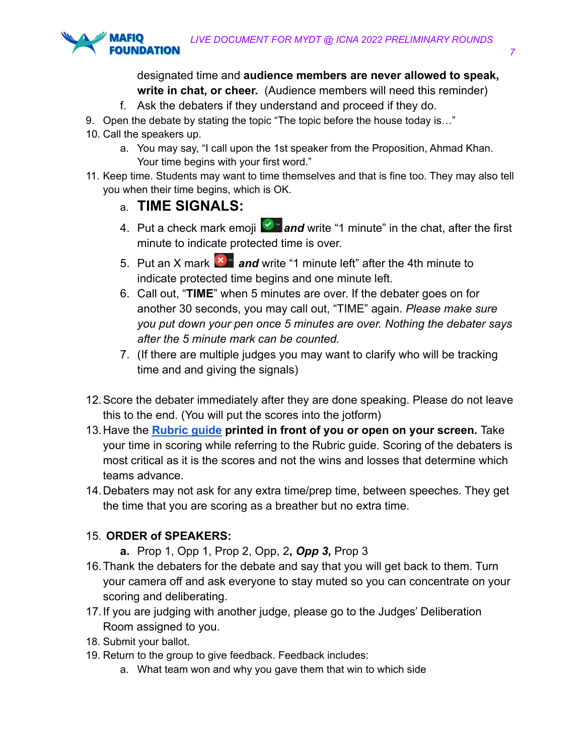

#### designated time and **audience members are never allowed to speak, write in chat, or cheer.** (Audience members will need this reminder)

- f. Ask the debaters if they understand and proceed if they do.
- 9. Open the debate by stating the topic "The topic before the house today is..."
- 10. Call the speakers up.
	- a. You may say, "I call upon the 1st speaker from the Proposition, Ahmad Khan. Your time begins with your first word."
- 11. Keep time. Students may want to time themselves and that is fine too. They may also tell you when their time begins, which is OK.

#### a. **TIME SIGNALS:**

- 4. Put a check mark emoji **2** and write "1 minute" in the chat, after the first minute to indicate protected time is over.
- 5. Put an X mark  $\mathbf{X}^*$  and write "1 minute left" after the 4th minute to indicate protected time begins and one minute left.
- 6. Call out, "**TIME**" when 5 minutes are over. If the debater goes on for another 30 seconds, you may call out, "TIME" again. *Please make sure you put down your pen once 5 minutes are over. Nothing the debater says after the 5 minute mark can be counted.*
- 7. (If there are multiple judges you may want to clarify who will be tracking time and and giving the signals)
- 12.Score the debater immediately after they are done speaking. Please do not leave this to the end. (You will put the scores into the jotform)
- 13.Have the **[Rubric guide](http://debate.mafiq.org/wp-content/uploads/2022/05/MYDT-RUBRIC-2022.pdf) printed in front of you or open on your screen.** Take your time in scoring while referring to the Rubric guide. Scoring of the debaters is most critical as it is the scores and not the wins and losses that determine which teams advance.
- 14.Debaters may not ask for any extra time/prep time, between speeches. They get the time that you are scoring as a breather but no extra time.

#### 15. **ORDER of SPEAKERS:**

- **a.** Prop 1, Opp 1, Prop 2, Opp, 2**,** *Opp 3***,** Prop 3
- 16.Thank the debaters for the debate and say that you will get back to them. Turn your camera off and ask everyone to stay muted so you can concentrate on your scoring and deliberating.
- 17.If you are judging with another judge, please go to the Judges' Deliberation Room assigned to you.
- 18. Submit your ballot.
- 19. Return to the group to give feedback. Feedback includes:
	- a. What team won and why you gave them that win to which side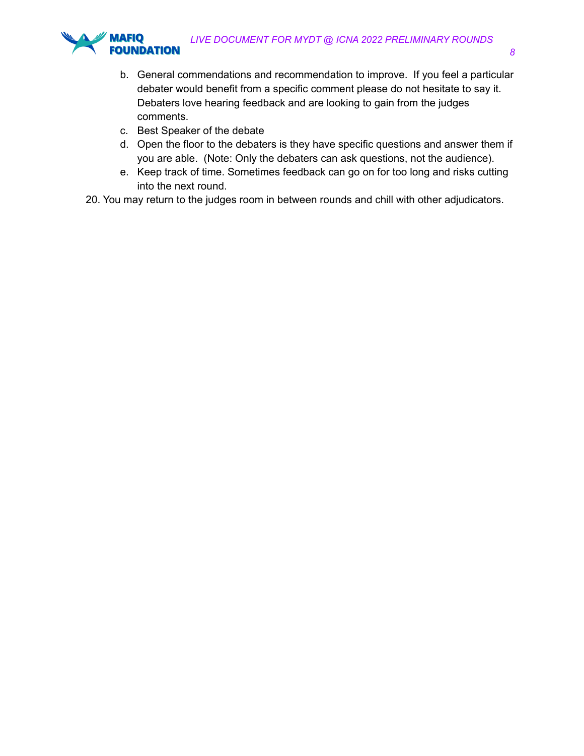

- b. General commendations and recommendation to improve. If you feel a particular debater would benefit from a specific comment please do not hesitate to say it. Debaters love hearing feedback and are looking to gain from the judges comments.
- c. Best Speaker of the debate
- d. Open the floor to the debaters is they have specific questions and answer them if you are able. (Note: Only the debaters can ask questions, not the audience).
- e. Keep track of time. Sometimes feedback can go on for too long and risks cutting into the next round.
- 20. You may return to the judges room in between rounds and chill with other adjudicators.